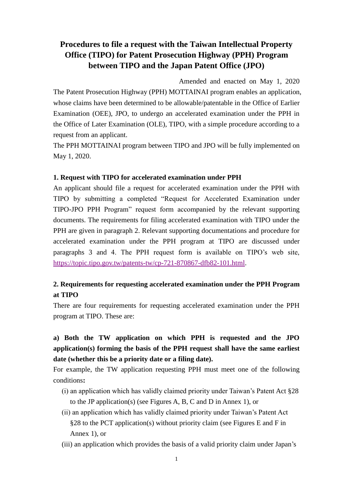## **Procedures to file a request with the Taiwan Intellectual Property Office (TIPO) for Patent Prosecution Highway (PPH) Program between TIPO and the Japan Patent Office (JPO)**

Amended and enacted on May 1, 2020 The Patent Prosecution Highway (PPH) MOTTAINAI program enables an application, whose claims have been determined to be allowable/patentable in the Office of Earlier Examination (OEE), JPO, to undergo an accelerated examination under the PPH in the Office of Later Examination (OLE), TIPO, with a simple procedure according to a request from an applicant.

The PPH MOTTAINAI program between TIPO and JPO will be fully implemented on May 1, 2020.

#### **1. Request with TIPO for accelerated examination under PPH**

An applicant should file a request for accelerated examination under the PPH with TIPO by submitting a completed "Request for Accelerated Examination under TIPO-JPO PPH Program" request form accompanied by the relevant supporting documents. The requirements for filing accelerated examination with TIPO under the PPH are given in paragraph 2. Relevant supporting documentations and procedure for accelerated examination under the PPH program at TIPO are discussed under paragraphs 3 and 4. The PPH request form is available on TIPO's web site, [https://topic.tipo.gov.tw/patents-tw/cp-721-870867-dfb82-101.html.](https://topic.tipo.gov.tw/patents-tw/cp-721-870867-dfb82-101.html)

#### **2. Requirements for requesting accelerated examination under the PPH Program at TIPO**

There are four requirements for requesting accelerated examination under the PPH program at TIPO. These are:

## **a) Both the TW application on which PPH is requested and the JPO application(s) forming the basis of the PPH request shall have the same earliest date (whether this be a priority date or a filing date).**

For example, the TW application requesting PPH must meet one of the following conditions**:**

- (i) an application which has validly claimed priority under Taiwan's Patent Act §28 to the JP application(s) (see Figures A, B, C and D in Annex 1), or
- (ii) an application which has validly claimed priority under Taiwan's Patent Act §28 to the PCT application(s) without priority claim (see Figures E and F in Annex 1), or
- (iii) an application which provides the basis of a valid priority claim under Japan's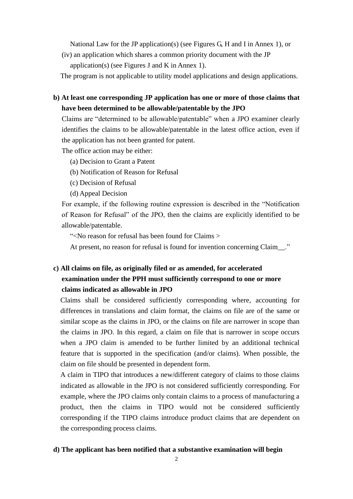National Law for the JP application(s) (see Figures G, H and I in Annex 1), or

(iv) an application which shares a common priority document with the JP application(s) (see Figures J and K in Annex 1).

The program is not applicable to utility model applications and design applications.

**b) At least one corresponding JP application has one or more of those claims that have been determined to be allowable/patentable by the JPO**

Claims are "determined to be allowable/patentable" when a JPO examiner clearly identifies the claims to be allowable/patentable in the latest office action, even if the application has not been granted for patent.

The office action may be either:

- (a) Decision to Grant a Patent
- (b) Notification of Reason for Refusal
- (c) Decision of Refusal
- (d) Appeal Decision

For example, if the following routine expression is described in the "Notification of Reason for Refusal" of the JPO, then the claims are explicitly identified to be allowable/patentable.

"<No reason for refusal has been found for Claims >

At present, no reason for refusal is found for invention concerning Claim\_."

### **c) All claims on file, as originally filed or as amended, for accelerated examination under the PPH must sufficiently correspond to one or more claims indicated as allowable in JPO**

Claims shall be considered sufficiently corresponding where, accounting for differences in translations and claim format, the claims on file are of the same or similar scope as the claims in JPO, or the claims on file are narrower in scope than the claims in JPO. In this regard, a claim on file that is narrower in scope occurs when a JPO claim is amended to be further limited by an additional technical feature that is supported in the specification (and/or claims). When possible, the claim on file should be presented in dependent form.

A claim in TIPO that introduces a new/different category of claims to those claims indicated as allowable in the JPO is not considered sufficiently corresponding. For example, where the JPO claims only contain claims to a process of manufacturing a product, then the claims in TIPO would not be considered sufficiently corresponding if the TIPO claims introduce product claims that are dependent on the corresponding process claims.

#### **d) The applicant has been notified that a substantive examination will begin**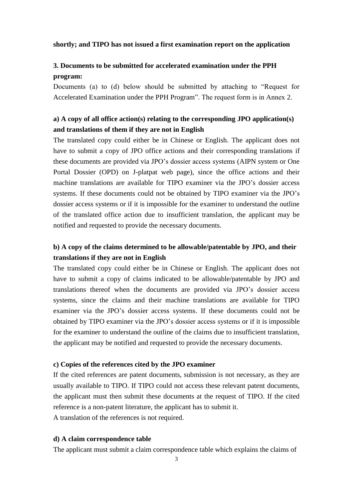#### **shortly; and TIPO has not issued a first examination report on the application**

### **3. Documents to be submitted for accelerated examination under the PPH program:**

Documents (a) to (d) below should be submitted by attaching to "Request for Accelerated Examination under the PPH Program". The request form is in Annex 2.

#### **a) A copy of all office action(s) relating to the corresponding JPO application(s) and translations of them if they are not in English**

The translated copy could either be in Chinese or English. The applicant does not have to submit a copy of JPO office actions and their corresponding translations if these documents are provided via JPO's dossier access systems (AIPN system or One Portal Dossier (OPD) on J-platpat web page), since the office actions and their machine translations are available for TIPO examiner via the JPO's dossier access systems. If these documents could not be obtained by TIPO examiner via the JPO's dossier access systems or if it is impossible for the examiner to understand the outline of the translated office action due to insufficient translation, the applicant may be notified and requested to provide the necessary documents.

### **b) A copy of the claims determined to be allowable/patentable by JPO, and their translations if they are not in English**

The translated copy could either be in Chinese or English. The applicant does not have to submit a copy of claims indicated to be allowable/patentable by JPO and translations thereof when the documents are provided via JPO's dossier access systems, since the claims and their machine translations are available for TIPO examiner via the JPO's dossier access systems. If these documents could not be obtained by TIPO examiner via the JPO's dossier access systems or if it is impossible for the examiner to understand the outline of the claims due to insufficient translation, the applicant may be notified and requested to provide the necessary documents.

#### **c) Copies of the references cited by the JPO examiner**

If the cited references are patent documents, submission is not necessary, as they are usually available to TIPO. If TIPO could not access these relevant patent documents, the applicant must then submit these documents at the request of TIPO. If the cited reference is a non-patent literature, the applicant has to submit it. A translation of the references is not required.

#### **d) A claim correspondence table**

The applicant must submit a claim correspondence table which explains the claims of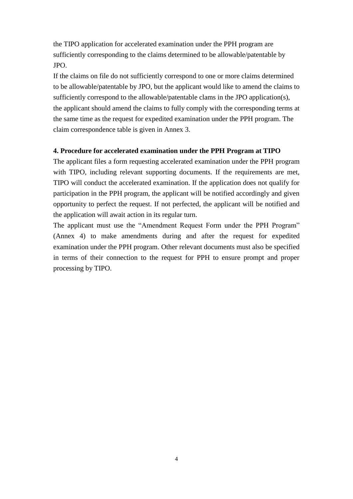the TIPO application for accelerated examination under the PPH program are sufficiently corresponding to the claims determined to be allowable/patentable by JPO.

If the claims on file do not sufficiently correspond to one or more claims determined to be allowable/patentable by JPO, but the applicant would like to amend the claims to sufficiently correspond to the allowable/patentable clams in the JPO application(s), the applicant should amend the claims to fully comply with the corresponding terms at the same time as the request for expedited examination under the PPH program. The claim correspondence table is given in Annex 3.

#### **4. Procedure for accelerated examination under the PPH Program at TIPO**

The applicant files a form requesting accelerated examination under the PPH program with TIPO, including relevant supporting documents. If the requirements are met, TIPO will conduct the accelerated examination. If the application does not qualify for participation in the PPH program, the applicant will be notified accordingly and given opportunity to perfect the request. If not perfected, the applicant will be notified and the application will await action in its regular turn.

The applicant must use the "Amendment Request Form under the PPH Program" (Annex 4) to make amendments during and after the request for expedited examination under the PPH program. Other relevant documents must also be specified in terms of their connection to the request for PPH to ensure prompt and proper processing by TIPO.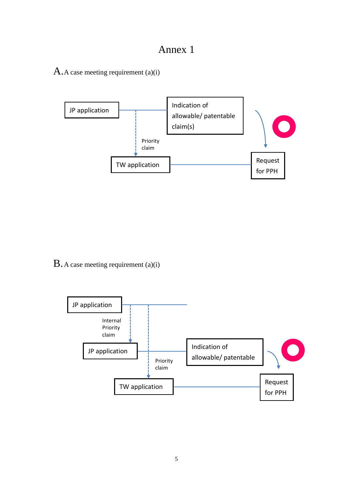## Annex 1

A.A case meeting requirement (a)(i)



B.A case meeting requirement (a)(i)

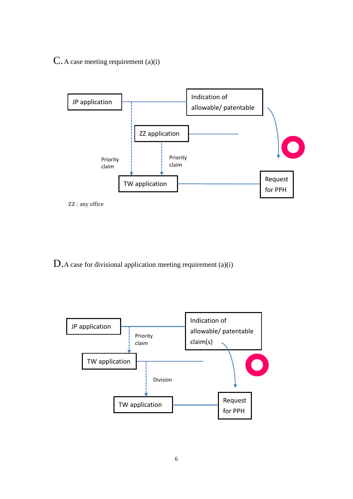C.A case meeting requirement (a)(i)





D.A case for divisional application meeting requirement (a)(i)

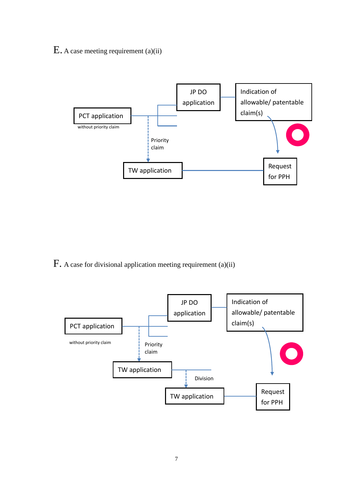## E. A case meeting requirement (a)(ii)



F. A case for divisional application meeting requirement (a)(ii)

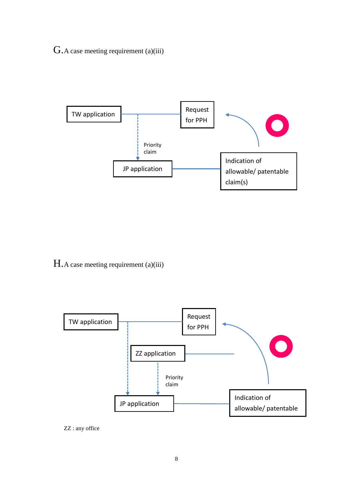## G.A case meeting requirement (a)(iii)



H.A case meeting requirement (a)(iii)



ZZ : any office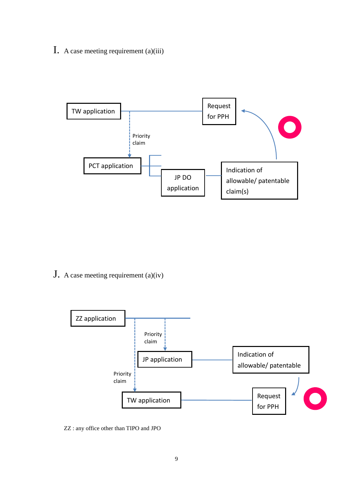I. A case meeting requirement (a)(iii)



J. A case meeting requirement (a)(iv)



ZZ : any office other than TIPO and JPO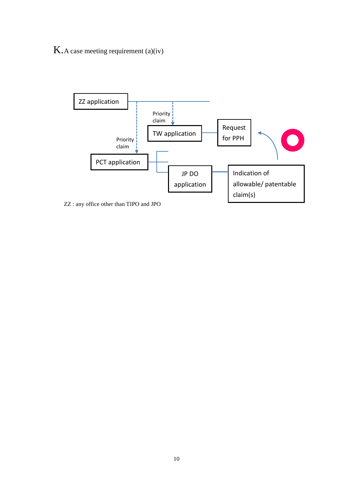K.A case meeting requirement (a)(iv)



ZZ : any office other than TIPO and JPO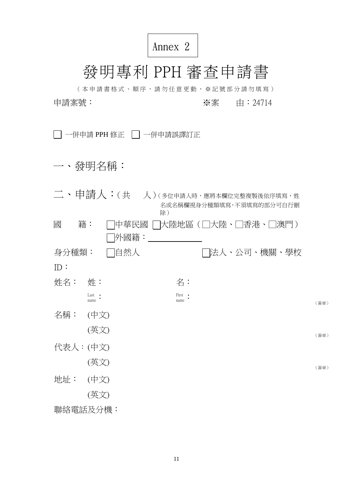# Annex 2

# 發明專利 PPH 審查申請書

(本申請書格式、順序,請勿任意更動,※記號部分請勿填寫) 申請案號: ※案 由:24714

□ 一併申請 PPH 修正 □ 一併申請誤譯訂正

一、發明名稱:

|          |                | <b>□ 、 申請人:(共</b> 人)(多位申請人時,應將本欄位完整複製後依序填寫,姓 |      |
|----------|----------------|----------------------------------------------|------|
|          | 除)             | 名或名稱欄視身分種類填寫,不須填寫的部分可自行刪                     |      |
| 籍:<br>國  | 中華民國           | 大陸地區(□大陸、□香港、□澳門)                            |      |
|          | 外國籍:           |                                              |      |
| 身分種類:    | 自然人            | □法人、公司、機關、學校                                 |      |
| ID:      |                |                                              |      |
| 姓名:      | 姓:             | 名:                                           |      |
|          | Last .<br>name | First •<br>name                              | (簽章) |
| 名稱:      | (中文)           |                                              |      |
|          | (英文)           |                                              | (簽章) |
| 代表人:(中文) |                |                                              |      |
|          | (英文)           |                                              | (簽章) |
| 地址:      | (中文)           |                                              |      |
|          | (英文)           |                                              |      |
| 聯絡電話及分機: |                |                                              |      |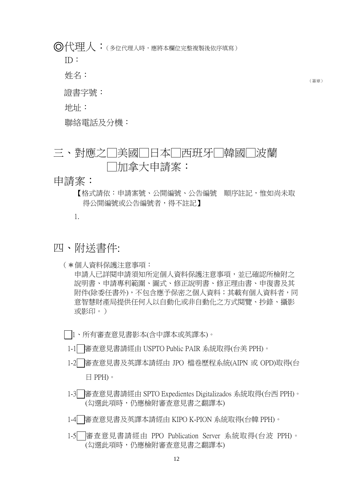◎代理人:(多位代理人時,應將本欄位完整複製後依序填寫)

ID:

姓名:

證書字號:

地址:

聯絡電話及分機:

三、對應之□美國□日本□西班牙□韓國□波蘭 □加拿大申請案:

申請案:

【格式請依:申請案號、公開編號、公告編號 順序註記,惟如尚未取 得公開編號或公告編號者,得不註記】

1.

四、附送書件:

(✽個人資料保護注意事項:

申請人已詳閱申請須知所定個人資料保護注意事項,並已確認所檢附之 說明書、申請專利範圍、圖式、修正說明書、修正理由書、申復書及其 附件(除委任書外),不包含應予保密之個人資料;其載有個人資料者,同 意智慧財產局提供任何人以自動化或非自動化之方式閱覽、抄錄、攝影 或影印。)

1、所有審查意見書影本(含中譯本或英譯本)。

1-1□審査意見書請經由 USPTO Public PAIR 系統取得(台美 PPH)。

- 1-2 審查意見書及英譯本請經由 JPO 檔卷歷程系統(AIPN 或 OPD)取得(台 日 PPH)。
- 1-3 審查意見書請經由 SPTO Expedientes Digitalizados 系統取得(台西 PPH)。 (勾選此項時,仍應檢附審查意見書之翻譯本)

1-4 審查意見書及英譯本請經由 KIPO K-PION 系統取得(台韓 PPH)。

1-5 審查意見書請經由 PPO Publication Server 系統取得(台波 PPH)。 (勾選此項時,仍應檢附審查意見書之翻譯本)

(簽章)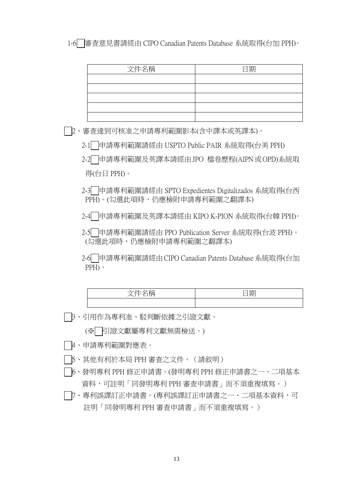1-6 審查意見書請經由 CIPO Canadian Patents Database 系統取得(台加 PPH)。

| 文件名稱 | 日期 |
|------|----|
|      |    |
|      |    |
|      |    |
|      |    |
|      |    |

- 2、審查達到可核准之申請專利範圍影本(含中譯本或英譯本)。
	- 2-1 申請專利範圍請經由 USPTO Public PAIR 系統取得(台美 PPH)
	- 2-2 申請專利範圍及英譯本請經由JPO 檔卷歷程(AIPN或OPD)系統取 得(台日 PPH)。
	- 2-3 申請專利範圍請經由 SPTO Expedientes Digitalizados 系統取得(台西 PPH)。(勾選此項時,仍應檢附申請專利範圍之翻譯本)

2-4 申請專利範圍及英譯本請經由 KIPO K-PION 系統取得(台韓 PPH)。

2-5 申請專利範圍請經由 PPO Publication Server 系統取得(台波 PPH)。 (勾選此項時,仍應檢附申請專利範圍之翻譯本)

2-6 申請專利範圍請經由CIPO Canadian Patents Database系統取得(台加 PPH)。

| بدمد | <b>FRH</b><br>-<br>「六」 |
|------|------------------------|
|      |                        |

3、引用作為專利准、駁判斷依據之引證文獻。

(※ 引證文獻屬專利文獻無需檢送。)

- 4、申請專利範圍對應表。
- 5、其他有利於本局 PPH 審查之文件。(請敘明)
- 6、發明專利 PPH 修正申請書。(發明專利 PPH 修正申請書之一、二項基本 資料,可註明「同發明專利 PPH 審查申請書」而不須重複填寫。)
- 7、專利誤譯訂正申請書。(專利誤譯訂正申請書之一、二項基本資料,可 註明「同發明專利 PPH 審查申請書」而不須重複填寫。)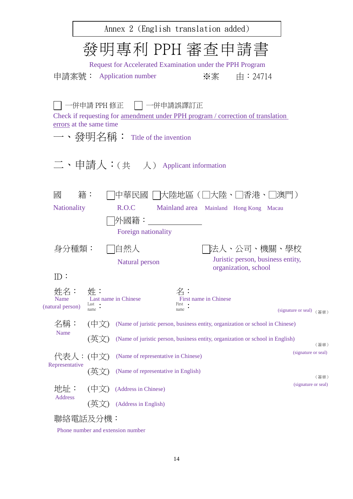| Annex 2 (English translation added)                                                                                                                                            |
|--------------------------------------------------------------------------------------------------------------------------------------------------------------------------------|
| 發明專利 PPH 審査申請書<br>Request for Accelerated Examination under the PPH Program                                                                                                    |
| 申請案號: Application number<br>※案  由:24714                                                                                                                                        |
| 一併申請 PPH 修正 丨 ┃一併申請誤譯訂正<br>Check if requesting for <u>amendment under PPH</u> program / correction of translation<br>errors at the same time<br>一、發明名稱: Title of the invention |
| 二、申請人:(共 人) Applicant information                                                                                                                                              |
| 中華民國   [大陸地區 (□大陸・□香港・□澳門 )<br>國<br>籍:<br>R.O.C<br><b>Nationality</b><br>Mainland area Mainland Hong Kong Macau<br> 外國籍:<br>Foreign nationality                                |
| 自然人<br> 法人、公司、機關、學校<br>身分種類:                                                                                                                                                   |
| Juristic person, business entity,<br>Natural person<br>organization, school<br>ID:                                                                                             |
| 姓:<br>名:<br>姓名:<br>Last name in Chinese<br><b>First name in Chinese</b><br>Name<br>Last<br>First<br>(natural person)<br>name •<br>name<br>(signature or seal) (簽章)             |
| 名稱:<br>(中文)<br>(Name of juristic person, business entity, organization or school in Chinese)                                                                                   |
| Name<br>(Name of juristic person, business entity, organization or school in English)<br>〔英〕<br>(簽章)                                                                           |
| (signature or seal)<br>代表人:(中文)<br>(Name of representative in Chinese)                                                                                                         |
| Representative<br>(Name of representative in English)<br>(英)<br>(簽章)                                                                                                           |
| (signature or seal)<br>地址:<br>(中文)<br>(Address in Chinese)<br>Address                                                                                                          |
| (Address in English)                                                                                                                                                           |
| 聯絡電話及分機:<br>number and extension numb                                                                                                                                          |

Phone number and extension number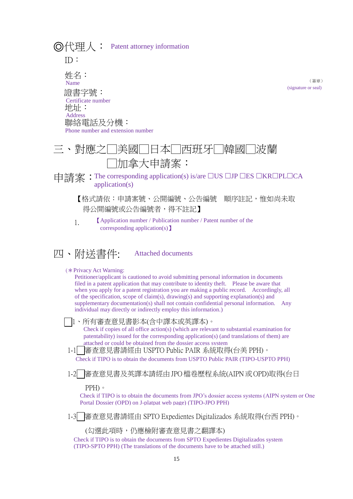◎代理人: Patent attorney information ID: 姓名: 證書字號: 地址: 聯絡電話及分機: Name Certificate number Address Phone number and extension number

# 三、對應之□美國□日本□西班牙□韓國□ □加拿大申請案:

申請案: The corresponding application(s) is/are □US □JP □ES □KR□PL□CA application(s)

【格式請依:申請案號、公開編號、公告編號 順序註記,惟如尚未取 得公開編號或公告編號者,得不註記】

(簽章)

(signature or seal)

- 1. 【Application number / Publication number / Patent number of the corresponding application(s)】
- 四、附送書件: Attached documents
	- (✽Privacy Act Warning:

Petitioner/applicant is cautioned to avoid submitting personal information in documents filed in a patent application that may contribute to identity theft. Please be aware that when you apply for a patent registration you are making a public record. Accordingly, all of the specification, scope of claim(s), drawing(s) and supporting explanation(s) and supplementary documentation(s) shall not contain confidential personal information. Any individual may directly or indirectly employ this information.)

- 1、所有審查意見書影本(含中譯本或英譯本)。 Check if copies of all office action(s) (which are relevant to substantial examination for patentability) issued for the corresponding application(s) (and translations of them) are attached or could be obtained from the dossier access system
- 1-1 審查意見書請經由 USPTO Public PAIR 系統取得(台美 PPH)。

Check if TIPO is to obtain the documents from USPTO Public PAIR (TIPO-USPTO PPH)

1-2 審查意見書及英譯本請經由JPO檔卷歷程系統(AIPN或OPD)取得(台日

PPH)。

Check if TIPO is to obtain the documents from JPO's dossier access systems (AIPN system or One Portal Dossier (OPD) on J-platpat web page) (TIPO-JPO PPH)

1-3 審查意見書請經由 SPTO Expedientes Digitalizados 系統取得(台西 PPH)。

(勾選此項時,仍應檢附審查意見書之翻譯本)

Check if TIPO is to obtain the documents from SPTO Expedientes Digitalizados system (TIPO-SPTO PPH) (The translations of the documents have to be attached still.)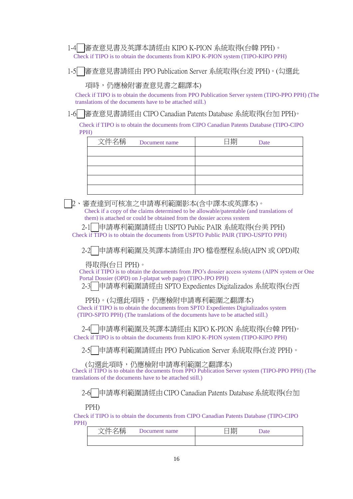Check if TIPO is to obtain the documents from KIPO K-PION system (TIPO-KIPO PPH) 1-4 審查意見書及英譯本請經由 KIPO K-PION 系統取得(台韓 PPH)。

1-5 審查意見書請經由 PPO Publication Server 系統取得(台波 PPH)。(勾選此

項時,仍應檢附審查意見書之翻譯本)

Check if TIPO is to obtain the documents from PPO Publication Server system (TIPO-PPO PPH) (The translations of the documents have to be attached still.)

1-6 審查意見書請經由 CIPO Canadian Patents Database 系統取得(台加 PPH)。

Check if TIPO is to obtain the documents from CIPO Canadian Patents Database (TIPO-CIPO PPH)

| 文件名稱<br>Document name | 日期<br>Date |
|-----------------------|------------|
|                       |            |
|                       |            |
|                       |            |
|                       |            |
|                       |            |

 2、審查達到可核准之申請專利範圍影本(含中譯本或英譯本)。 Check if a copy of the claims determined to be allowable/patentable (and translations of them) is attached or could be obtained from the dossier access system

Check if TIPO is to obtain the documents from USPTO Public PAIR (TIPO-USPTO PPH) 2-1 申請專利範圍請經由 USPTO Public PAIR 系統取得(台美 PPH)

2-2 申請專利範圍及英譯本請經由 JPO 檔卷歷程系統(AIPN 或 OPD)取

得取得(台日 PPH)。

Check if TIPO is to obtain the documents from JPO's dossier access systems (AIPN system or One Portal Dossier (OPD) on J-platpat web page) (TIPO-JPO PPH)

2-3 申請專利範圍請經由 SPTO Expedientes Digitalizados 系統取得(台西

PPH)。(勾選此項時,仍應檢附申請專利範圍之翻譯本)

Check if TIPO is to obtain the documents from SPTO Expedientes Digitalizados system (TIPO-SPTO PPH) (The translations of the documents have to be attached still.)

Check if TIPO is to obtain the documents from KIPO K-PION system (TIPO-KIPO PPH) 2-4 申請專利範圍及英譯本請經由 KIPO K-PION 系統取得(台韓 PPH)。

2-5 申請專利範圍請經由 PPO Publication Server 系統取得(台波 PPH)。

(勾選此項時,仍應檢附申請專利範圍之翻譯本)

Check if TIPO is to obtain the documents from PPO Publication Server system (TIPO-PPO PPH) (The translations of the documents have to be attached still.)

2-6 申請專利範圍請經由CIPO Canadian Patents Database系統取得(台加

PPH)

Check if TIPO is to obtain the documents from CIPO Canadian Patents Database (TIPO-CIPO PPH)

| 石工币<br>. A<br>≔<br>$\sim$<br>□ | Jocument name | 期<br>_ | Date |
|--------------------------------|---------------|--------|------|
|                                |               |        |      |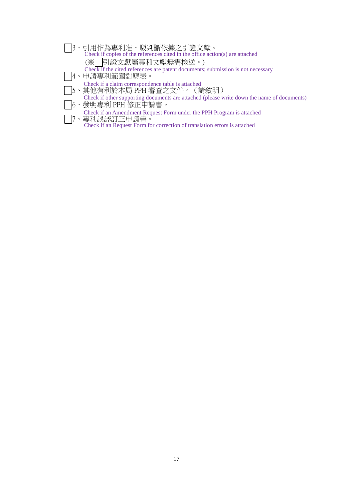- Check if copies of the references cited in the office action(s) are attached Check if the cited references are patent documents; submission is not necessary Check if a claim correspondence table is attached Check if other supporting documents are attached (please write down the name of documents) | | | |3、引用作為專利准、駁判斷依據之引證文獻。| (※ 引證文獻屬專利文獻無需檢送。) 4、申請專利範圍對應表。 5、其他有利於本局 PPH 審查之文件。(請敘明)
- Check if an Amendment Request Form under the PPH Program is attached 6、發明專利 PPH 修正申請書。 7、專利誤譯訂正申請書。
	- Check if an Request Form for correction of translation errors is attached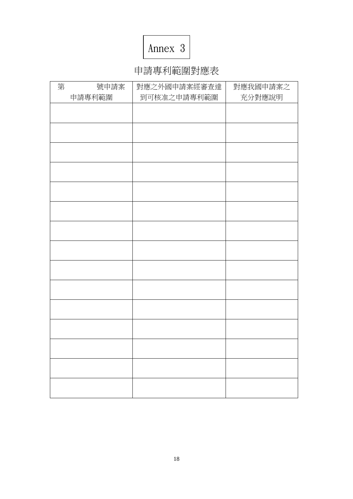# Annex 3

# 申請專利範圍對應表

| 第 | 號申請案   | 對應之外國申請案經審查達 | 對應我國申請案之 |
|---|--------|--------------|----------|
|   | 申請專利範圍 | 到可核准之申請專利範圍  | 充分對應說明   |
|   |        |              |          |
|   |        |              |          |
|   |        |              |          |
|   |        |              |          |
|   |        |              |          |
|   |        |              |          |
|   |        |              |          |
|   |        |              |          |
|   |        |              |          |
|   |        |              |          |
|   |        |              |          |
|   |        |              |          |
|   |        |              |          |
|   |        |              |          |
|   |        |              |          |
|   |        |              |          |
|   |        |              |          |
|   |        |              |          |
|   |        |              |          |
|   |        |              |          |
|   |        |              |          |
|   |        |              |          |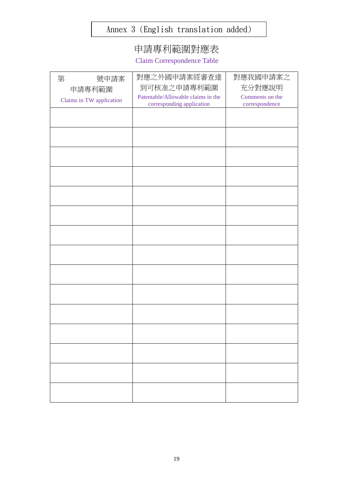## Annex 3 (English translation added)

# 申請專利範圍對應表

Claim Correspondence Table

| 第<br>號申請案                | 對應之外國申請案經審查達                       | 對應我國申請案之        |
|--------------------------|------------------------------------|-----------------|
| 申請專利範圍                   | 到可核准之申請專利範圍                        | 充分對應說明          |
| Claims in TW application | Patentable/Allowable claims in the | Comments on the |
|                          | corresponding application          | correspondence  |
|                          |                                    |                 |
|                          |                                    |                 |
|                          |                                    |                 |
|                          |                                    |                 |
|                          |                                    |                 |
|                          |                                    |                 |
|                          |                                    |                 |
|                          |                                    |                 |
|                          |                                    |                 |
|                          |                                    |                 |
|                          |                                    |                 |
|                          |                                    |                 |
|                          |                                    |                 |
|                          |                                    |                 |
|                          |                                    |                 |
|                          |                                    |                 |
|                          |                                    |                 |
|                          |                                    |                 |
|                          |                                    |                 |
|                          |                                    |                 |
|                          |                                    |                 |
|                          |                                    |                 |
|                          |                                    |                 |
|                          |                                    |                 |
|                          |                                    |                 |
|                          |                                    |                 |
|                          |                                    |                 |
|                          |                                    |                 |
|                          |                                    |                 |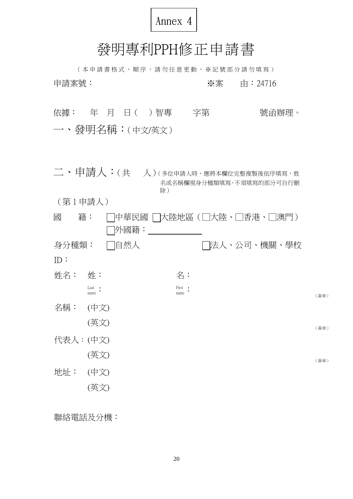

# 發明專利PPH修正申請書

( 本 申 請 書 格 式 、 順 序 , 請 勿 任 意 更 動 , ※ 記 號 部 分 請 勿 填 寫 ) 申請案號: ※案 由:24716

依據: 年 月 日( )智專 字第 第 號函辦理。 一、發明名稱:(中文/英文)

- 二、申請人:(共 人)(多位申請人時,應將本欄位完整複製後依序填寫,姓 名或名稱欄視身分種類填寫,不須填寫的部分可自行刪 除)
- (第 1 申請人)

| 國        | 籍:             | 中華民國 | 大陸地區(□大陸、□香港、□澳門) |  |              |      |
|----------|----------------|------|-------------------|--|--------------|------|
|          |                | 外國籍: |                   |  |              |      |
| 身分種類:    |                | □自然人 |                   |  | □法人、公司、機關、學校 |      |
| ID:      |                |      |                   |  |              |      |
| 姓名:      | 姓:             |      | 名:                |  |              |      |
|          | Last .<br>name |      | First .<br>name   |  |              | (簽章) |
| 名稱:      | (中文)           |      |                   |  |              |      |
|          | (英文)           |      |                   |  |              | (簽章) |
| 代表人:(中文) |                |      |                   |  |              |      |
|          | (英文)           |      |                   |  |              | (簽章) |
| 地址:      | (中文)           |      |                   |  |              |      |
|          | (英文)           |      |                   |  |              |      |

聯絡電話及分機: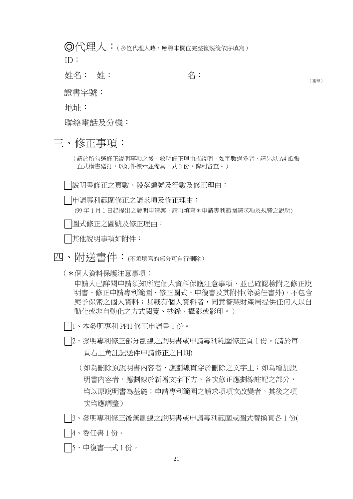◎代理人:(多位代理人時,應將本欄位完整複製後依序填寫)

ID:

**姓名: 姓: 名:** 

(簽章)

證書字號:

地址:

聯絡電話及分機:

三、修正事項:

(請於所勾選修正說明事項之後,敘明修正理由或說明,如字數過多者,請另以 A4 紙張 直式橫書繕打,以附件標示並備具一式 2 份,俾利審查。)

說明書修正之頁數、段落編號及行數及修正理由:

申請專利範圍修正之請求項及修正理由:

(99年1月1日起提出之發明申請案,請再填寫\*申請專利範圍請求項及規費之說明)

圖式修正之圖號及修正理由:

其他說明事項如附件:

四、附送書件:(不須填寫的部分可自行刪除)

(✽個人資料保護注意事項:

申請人已詳閱申請須知所定個人資料保護注意事項,並已確認檢附之修正說 明書、修正申請專利範圍、修正圖式、申復書及其附件(除委任書外),不包含 應予保密之個人資料有個人資料者,同意智慧財產局提供任何人以自 動化或非自動化之方式閱覽、抄錄、攝影或影印。)

- 1、本發明專利 PPH 修正申請書 1 份。
- 2、發明專利修正部分劃線之說明書或申請專利範圍修正頁 1 份。(請於每 頁右上角註記送件申請修正之日期)
	- (如為刪除原說明書內容者,應劃線貫穿於刪除之文字上;如為增加說 明書內容者,應劃線於新增文字下方。各次修正應劃線註記之部分, 均以原說明書為基礎;申請專利範圍之請求項項次改變者,其後之項 次均應調整)
- 3、發明專利修正後無劃線之說明書或申請專利範圍或圖式替換頁各 1 份(
- 4、委任書 1 份。
- 5、申復書一式 1 份。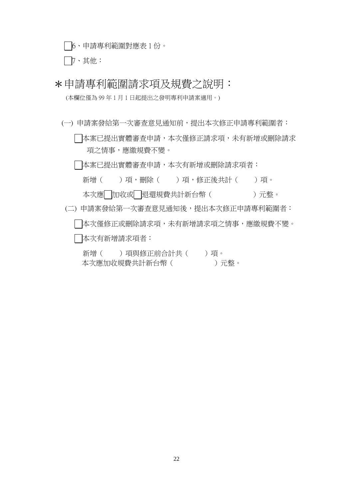6、申請專利範圍對應表 1 份。

7、其他:

\*申請專利範圍請求項及規費之說明:

(本欄位僅為 99 年 1 月 1 日起提出之發明專利申請案適用。)

(一) 申請案發給第一次審查意見通知前,提出本次修正申請專利範圍者:

| 本案已提出實體審查申請,本次僅修正請求項,未有新增或刪除請求 項之情事,應繳規費不變。

| |本案已提出實體審查申請,本次有新增或刪除請求項者:

新增()項,刪除()項,修正後共計()項。 本次應 加收或 退還規費共計新台幣 ( )元整。

(二) 申請案發給第一次審查意見通知後,提出本次修正申請專利範圍者: 本次僅修正或刪除請求項,未有新增請求項之情事,應繳規費不變。

本次有新增請求項者:

新增( )項與修正前合計共( )項。 本次應加收規費共計新台幣 ( )元整。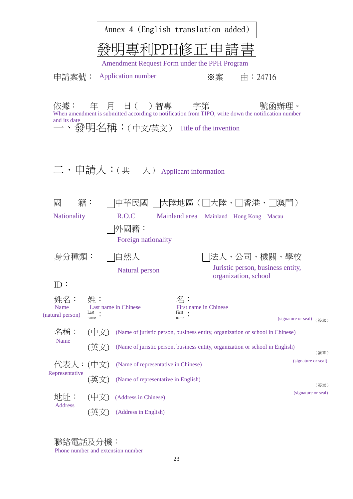|                                 |                                            | Annex 4 (English translation added)                                           |                                        |                      |                                                  |
|---------------------------------|--------------------------------------------|-------------------------------------------------------------------------------|----------------------------------------|----------------------|--------------------------------------------------|
|                                 |                                            | 「專利PPH修正申請書<br>Amendment Request Form under the PPH Program                   |                                        |                      |                                                  |
|                                 |                                            | 申請案號: Application number                                                      |                                        | ※案 由:24716           |                                                  |
| and its date                    |                                            | 一、發明名稱:(中文/英文) Title of the invention                                         |                                        |                      |                                                  |
|                                 |                                            | 二、申請人:(共 人) Applicant information                                             |                                        |                      |                                                  |
| 籍:<br>國<br><b>Nationality</b>   |                                            | 中華民國    大陸地區(□大陸、□香港、□澳門)<br>R.O.C<br>外國籍:<br>Foreign nationality             | Mainland area Mainland Hong Kong Macau |                      |                                                  |
| 身分種類:                           |                                            | 自然人<br>Natural person                                                         |                                        | organization, school | 法人、公司、機關、學校<br>Juristic person, business entity, |
| ID:                             |                                            |                                                                               |                                        |                      |                                                  |
| 姓名:<br>Name<br>(natural person) | 姓:<br>Last name in Chinese<br>Last<br>name |                                                                               | First name in Chinese<br>First<br>name |                      | (signature or seal) (簽章)                         |
| 名稱:                             |                                            |                                                                               |                                        |                      |                                                  |
|                                 | (中文                                        | (Name of juristic person, business entity, organization or school in Chinese) |                                        |                      |                                                  |
| Name                            |                                            | (Name of juristic person, business entity, organization or school in English) |                                        |                      | (簽章)                                             |
| 代表人:                            | (中文)                                       | (Name of representative in Chinese)                                           |                                        |                      | (signature or seal)                              |
| Representative                  | 央                                          | (Name of representative in English)                                           |                                        |                      | (簽章)                                             |
| 地址:<br><b>Address</b>           | $(\mathbb{H})$                             | (Address in Chinese)                                                          |                                        |                      | (signature or seal)                              |

聯絡電話及分機:

Phone number and extension number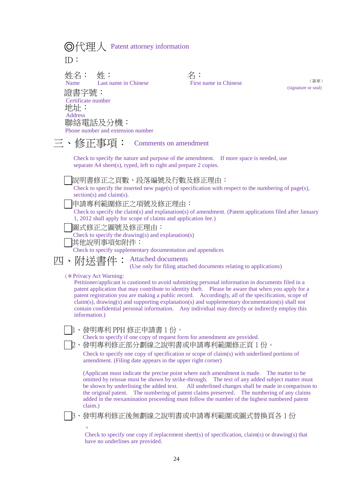|  | ◎代理人 Patent attorney information |  |
|--|----------------------------------|--|
|--|----------------------------------|--|

ID:

姓名:<br>Name Last name in Chinese 證書字號: 地址: 聯絡電話及分機: Certificate number Address

 $\overline{\mathcal{L}}$  :<br>First name in Chinese

(簽章) (signature or seal)

| 聯絡電話及分機:<br>Phone number and extension number                                                                                                                                                                                                                                                                                                                                                                                                                                                                                                                          |
|------------------------------------------------------------------------------------------------------------------------------------------------------------------------------------------------------------------------------------------------------------------------------------------------------------------------------------------------------------------------------------------------------------------------------------------------------------------------------------------------------------------------------------------------------------------------|
| 三、修正事項:<br>Comments on amendment                                                                                                                                                                                                                                                                                                                                                                                                                                                                                                                                       |
| Check to specify the nature and purpose of the amendment. If more space is needed, use<br>separate A4 sheet(s), typed, left to right and prepare 2 copies.                                                                                                                                                                                                                                                                                                                                                                                                             |
| 說明書修正之頁數、段落編號及行數及修正理由:<br>Check to specify the inserted new page(s) of specification with respect to the numbering of page(s),<br>$section(s)$ and $claim(s)$ .<br>申請專利範圍修正之項號及修正理由:<br>Check to specify the claim(s) and explanation(s) of amendment. (Patent applications filed after January<br>1, 2012 shall apply for scope of claims and application fee.)<br>圖式修正之圖號及修正理由:<br>Check to specify the drawing(s) and explanation(s)<br>其他說明事項如附件:<br>Check to specify supplementary documentation and appendices                                                   |
| 附送書件:<br><b>Attached documents</b><br>四、<br>(Use only for filing attached documents relating to applications)                                                                                                                                                                                                                                                                                                                                                                                                                                                          |
| (* Privacy Act Warning:<br>Petitioner/applicant is cautioned to avoid submitting personal information in documents filed in a<br>patent application that may contribute to identity theft. Please be aware that when you apply for a<br>patent registration you are making a public record. Accordingly, all of the specification, scope of<br>$claim(s)$ , drawing(s) and supporting explanation(s) and supplementary documentation(s) shall not<br>contain confidential personal information. Any individual may directly or indirectly employ this<br>information.) |
| 1、發明專利 PPH 修正申請書 1 份。<br>Check to specify if one copy of request form for amendment are provided.<br>2、發明專利修正部分劃線之說明書或申請專利範圍修正頁1份。<br>Check to specify one copy of specification or scope of claim(s) with underlined portions of<br>amendment. (Filing date appears in the upper right corner)                                                                                                                                                                                                                                                                        |
| (Applicant must indicate the precise point where each amendment is made. The matter to be<br>omitted by reissue must be shown by strike-through. The text of any added subject matter must<br>be shown by underlining the added text.<br>All underlined changes shall be made in comparison to<br>The numbering of patent claims preserved. The numbering of any claims<br>the original patent.<br>added in the reexamination proceeding must follow the number of the highest numbered patent<br>claim.)                                                              |
| 3、發明專利修正後無劃線之說明書或申請專利範圍或圖式替換頁各 1 份<br>$\circ$                                                                                                                                                                                                                                                                                                                                                                                                                                                                                                                          |

Check to specify one copy if replacement sheet(s) of specification, claim(s) or drawing(s) that have no underlines are provided.